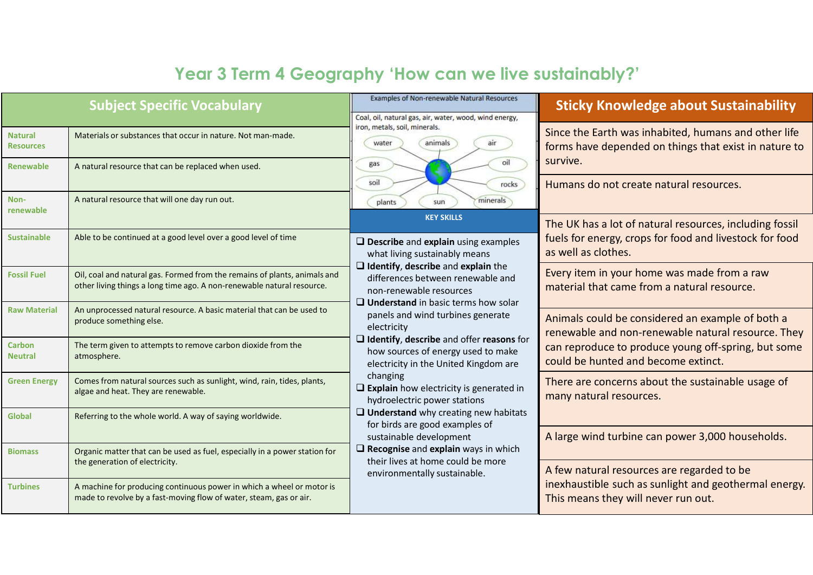## Year 3 Term 4 Geography 'How can we live sustainably?'

|                                    | <b>Subject Specific Vocabulary</b>                                                                                                                  | Examples of Non-renewable Natural Resources<br>Coal, oil, natural gas, air, water, wood, wind energy,                                                                                                                          | <b>Sticky Knowledge about Sustainability</b>                                                                                                                                                                                                                                                                      |  |  |
|------------------------------------|-----------------------------------------------------------------------------------------------------------------------------------------------------|--------------------------------------------------------------------------------------------------------------------------------------------------------------------------------------------------------------------------------|-------------------------------------------------------------------------------------------------------------------------------------------------------------------------------------------------------------------------------------------------------------------------------------------------------------------|--|--|
| <b>Natural</b><br><b>Resources</b> | Materials or substances that occur in nature. Not man-made.                                                                                         | iron, metals, soil, minerals.<br>water<br>animals                                                                                                                                                                              | Since the Earth was inhabited, humans and other life<br>forms have depended on things that exist in nature to<br>survive.<br>Humans do not create natural resources.<br>The UK has a lot of natural resources, including fossil<br>fuels for energy, crops for food and livestock for food<br>as well as clothes. |  |  |
| <b>Renewable</b>                   | A natural resource that can be replaced when used.                                                                                                  | oil<br>gas<br>soil<br>rocks                                                                                                                                                                                                    |                                                                                                                                                                                                                                                                                                                   |  |  |
| Non-<br>renewable                  | A natural resource that will one day run out.                                                                                                       | minerals<br>plants<br>sun<br><b>KEY SKILLS</b>                                                                                                                                                                                 |                                                                                                                                                                                                                                                                                                                   |  |  |
| <b>Sustainable</b>                 | Able to be continued at a good level over a good level of time                                                                                      | $\square$ Describe and explain using examples<br>what living sustainably means                                                                                                                                                 |                                                                                                                                                                                                                                                                                                                   |  |  |
| <b>Fossil Fuel</b>                 | Oil, coal and natural gas. Formed from the remains of plants, animals and<br>other living things a long time ago. A non-renewable natural resource. | $\Box$ Identify, describe and explain the<br>differences between renewable and<br>non-renewable resources                                                                                                                      | Every item in your home was made from a raw<br>material that came from a natural resource.                                                                                                                                                                                                                        |  |  |
| <b>Raw Material</b>                | An unprocessed natural resource. A basic material that can be used to<br>produce something else.                                                    | $\Box$ Understand in basic terms how solar<br>panels and wind turbines generate<br>electricity                                                                                                                                 | Animals could be considered an example of both a<br>renewable and non-renewable natural resource. They                                                                                                                                                                                                            |  |  |
| <b>Carbon</b><br><b>Neutral</b>    | The term given to attempts to remove carbon dioxide from the<br>atmosphere.                                                                         | $\Box$ Identify, describe and offer reasons for<br>how sources of energy used to make<br>electricity in the United Kingdom are                                                                                                 | can reproduce to produce young off-spring, but some<br>could be hunted and become extinct.                                                                                                                                                                                                                        |  |  |
| <b>Green Energy</b>                | Comes from natural sources such as sunlight, wind, rain, tides, plants,<br>algae and heat. They are renewable.                                      | changing<br>$\Box$ Explain how electricity is generated in<br>hydroelectric power stations                                                                                                                                     | There are concerns about the sustainable usage of<br>many natural resources.<br>A large wind turbine can power 3,000 households.                                                                                                                                                                                  |  |  |
| Global                             | Referring to the whole world. A way of saying worldwide.                                                                                            | $\Box$ Understand why creating new habitats<br>for birds are good examples of<br>sustainable development<br>$\square$ Recognise and explain ways in which<br>their lives at home could be more<br>environmentally sustainable. |                                                                                                                                                                                                                                                                                                                   |  |  |
| <b>Biomass</b>                     | Organic matter that can be used as fuel, especially in a power station for<br>the generation of electricity.                                        |                                                                                                                                                                                                                                | A few natural resources are regarded to be                                                                                                                                                                                                                                                                        |  |  |
| <b>Turbines</b>                    | A machine for producing continuous power in which a wheel or motor is<br>made to revolve by a fast-moving flow of water, steam, gas or air.         |                                                                                                                                                                                                                                | inexhaustible such as sunlight and geothermal energy.<br>This means they will never run out.                                                                                                                                                                                                                      |  |  |